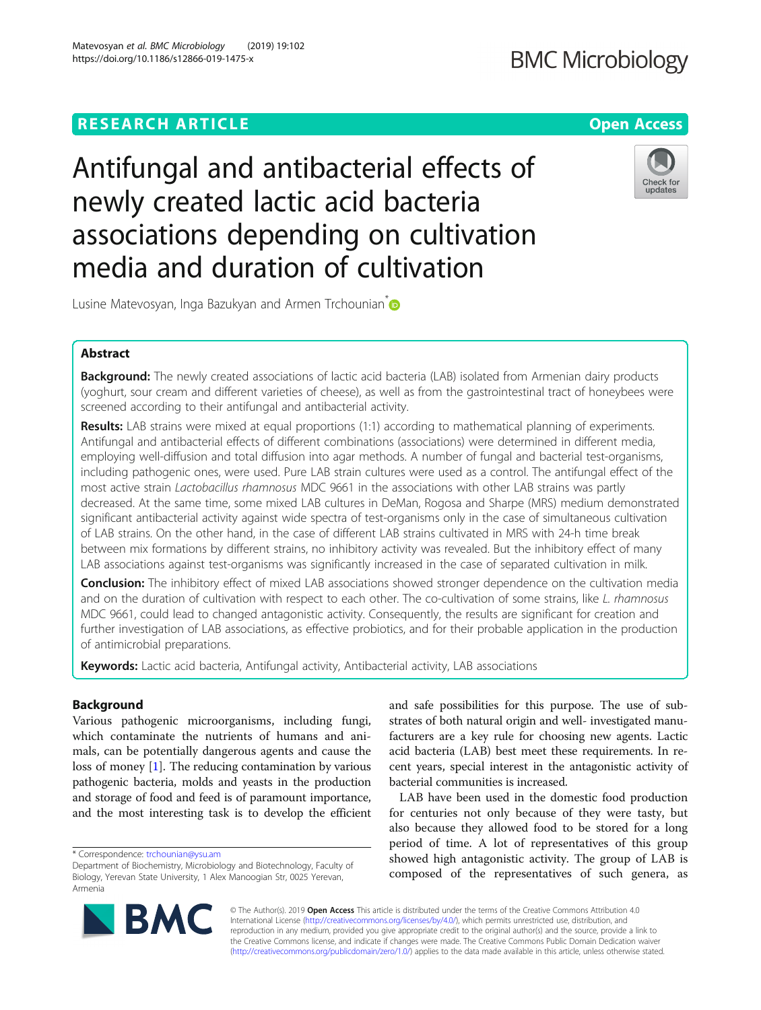## **RESEARCH ARTICLE Example 2018 12:30 THE Open Access**

# Antifungal and antibacterial effects of newly created lactic acid bacteria associations depending on cultivation media and duration of cultivation

Lusine Matevosyan, Inga Bazukyan and Armen Trchounian<sup>®</sup>

## Abstract

Background: The newly created associations of lactic acid bacteria (LAB) isolated from Armenian dairy products (yoghurt, sour cream and different varieties of cheese), as well as from the gastrointestinal tract of honeybees were screened according to their antifungal and antibacterial activity.

Results: LAB strains were mixed at equal proportions (1:1) according to mathematical planning of experiments. Antifungal and antibacterial effects of different combinations (associations) were determined in different media, employing well-diffusion and total diffusion into agar methods. A number of fungal and bacterial test-organisms, including pathogenic ones, were used. Pure LAB strain cultures were used as a control. The antifungal effect of the most active strain Lactobacillus rhamnosus MDC 9661 in the associations with other LAB strains was partly decreased. At the same time, some mixed LAB cultures in DeMan, Rogosa and Sharpe (MRS) medium demonstrated significant antibacterial activity against wide spectra of test-organisms only in the case of simultaneous cultivation of LAB strains. On the other hand, in the case of different LAB strains cultivated in MRS with 24-h time break between mix formations by different strains, no inhibitory activity was revealed. But the inhibitory effect of many LAB associations against test-organisms was significantly increased in the case of separated cultivation in milk.

Conclusion: The inhibitory effect of mixed LAB associations showed stronger dependence on the cultivation media and on the duration of cultivation with respect to each other. The co-cultivation of some strains, like L. rhamnosus MDC 9661, could lead to changed antagonistic activity. Consequently, the results are significant for creation and further investigation of LAB associations, as effective probiotics, and for their probable application in the production of antimicrobial preparations.

Keywords: Lactic acid bacteria, Antifungal activity, Antibacterial activity, LAB associations

## Background

Various pathogenic microorganisms, including fungi, which contaminate the nutrients of humans and animals, can be potentially dangerous agents and cause the loss of money [[1](#page-6-0)]. The reducing contamination by various pathogenic bacteria, molds and yeasts in the production and storage of food and feed is of paramount importance, and the most interesting task is to develop the efficient

\* Correspondence: [trchounian@ysu.am](mailto:trchounian@ysu.am)

and safe possibilities for this purpose. The use of substrates of both natural origin and well- investigated manufacturers are a key rule for choosing new agents. Lactic acid bacteria (LAB) best meet these requirements. In recent years, special interest in the antagonistic activity of bacterial communities is increased.

LAB have been used in the domestic food production for centuries not only because of they were tasty, but also because they allowed food to be stored for a long period of time. A lot of representatives of this group showed high antagonistic activity. The group of LAB is composed of the representatives of such genera, as

© The Author(s). 2019 Open Access This article is distributed under the terms of the Creative Commons Attribution 4.0 International License [\(http://creativecommons.org/licenses/by/4.0/](http://creativecommons.org/licenses/by/4.0/)), which permits unrestricted use, distribution, and reproduction in any medium, provided you give appropriate credit to the original author(s) and the source, provide a link to the Creative Commons license, and indicate if changes were made. The Creative Commons Public Domain Dedication waiver [\(http://creativecommons.org/publicdomain/zero/1.0/](http://creativecommons.org/publicdomain/zero/1.0/)) applies to the data made available in this article, unless otherwise stated.









Department of Biochemistry, Microbiology and Biotechnology, Faculty of Biology, Yerevan State University, 1 Alex Manoogian Str, 0025 Yerevan, Armenia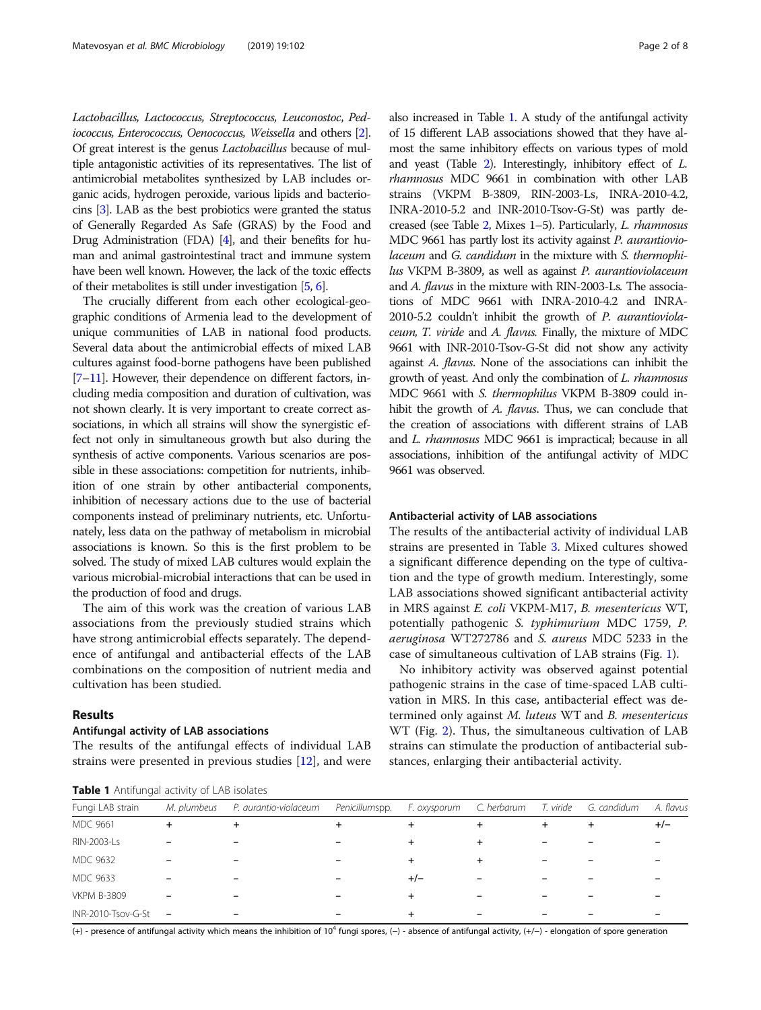Lactobacillus, Lactococcus, Streptococcus, Leuconostoc, Pediococcus, Enterococcus, Oenococcus, Weissella and others [\[2\]](#page-6-0). Of great interest is the genus Lactobacillus because of multiple antagonistic activities of its representatives. The list of antimicrobial metabolites synthesized by LAB includes organic acids, hydrogen peroxide, various lipids and bacteriocins [\[3\]](#page-6-0). LAB as the best probiotics were granted the status of Generally Regarded As Safe (GRAS) by the Food and Drug Administration (FDA) [\[4](#page-6-0)], and their benefits for human and animal gastrointestinal tract and immune system have been well known. However, the lack of the toxic effects of their metabolites is still under investigation [\[5,](#page-6-0) [6\]](#page-6-0).

The crucially different from each other ecological-geographic conditions of Armenia lead to the development of unique communities of LAB in national food products. Several data about the antimicrobial effects of mixed LAB cultures against food-borne pathogens have been published [[7](#page-6-0)–[11\]](#page-6-0). However, their dependence on different factors, including media composition and duration of cultivation, was not shown clearly. It is very important to create correct associations, in which all strains will show the synergistic effect not only in simultaneous growth but also during the synthesis of active components. Various scenarios are possible in these associations: competition for nutrients, inhibition of one strain by other antibacterial components, inhibition of necessary actions due to the use of bacterial components instead of preliminary nutrients, etc. Unfortunately, less data on the pathway of metabolism in microbial associations is known. So this is the first problem to be solved. The study of mixed LAB cultures would explain the various microbial-microbial interactions that can be used in the production of food and drugs.

The aim of this work was the creation of various LAB associations from the previously studied strains which have strong antimicrobial effects separately. The dependence of antifungal and antibacterial effects of the LAB combinations on the composition of nutrient media and cultivation has been studied.

#### Results

### Antifungal activity of LAB associations

The results of the antifungal effects of individual LAB strains were presented in previous studies [[12\]](#page-6-0), and were

|  | Table 1 Antifungal activity of LAB isolates |  |  |  |
|--|---------------------------------------------|--|--|--|
|--|---------------------------------------------|--|--|--|

also increased in Table 1. A study of the antifungal activity of 15 different LAB associations showed that they have almost the same inhibitory effects on various types of mold and yeast (Table [2](#page-2-0)). Interestingly, inhibitory effect of L. rhamnosus MDC 9661 in combination with other LAB strains (VKPM B-3809, RIN-2003-Ls, INRA-2010-4.2, INRA-2010-5.2 and INR-2010-Tsov-G-St) was partly decreased (see Table [2,](#page-2-0) Mixes 1–5). Particularly, L. rhamnosus MDC 9661 has partly lost its activity against P. aurantioviolaceum and G. candidum in the mixture with S. thermophilus VKPM B-3809, as well as against P. aurantioviolaceum and A. flavus in the mixture with RIN-2003-Ls. The associations of MDC 9661 with INRA-2010-4.2 and INRA-2010-5.2 couldn't inhibit the growth of P. aurantioviolaceum, T. viride and A. flavus. Finally, the mixture of MDC 9661 with INR-2010-Tsov-G-St did not show any activity against A. flavus. None of the associations can inhibit the growth of yeast. And only the combination of L. rhamnosus MDC 9661 with S. thermophilus VKPM B-3809 could inhibit the growth of A. *flavus*. Thus, we can conclude that the creation of associations with different strains of LAB and L. rhamnosus MDC 9661 is impractical; because in all associations, inhibition of the antifungal activity of MDC 9661 was observed.

#### Antibacterial activity of LAB associations

The results of the antibacterial activity of individual LAB strains are presented in Table [3](#page-2-0). Mixed cultures showed a significant difference depending on the type of cultivation and the type of growth medium. Interestingly, some LAB associations showed significant antibacterial activity in MRS against E. coli VKPM-M17, B. mesentericus WT, potentially pathogenic S. typhimurium MDC 1759, P. aeruginosa WT272786 and S. aureus MDC 5233 in the case of simultaneous cultivation of LAB strains (Fig. [1](#page-3-0)).

No inhibitory activity was observed against potential pathogenic strains in the case of time-spaced LAB cultivation in MRS. In this case, antibacterial effect was determined only against M. luteus WT and B. mesentericus WT (Fig. [2](#page-3-0)). Thus, the simultaneous cultivation of LAB strains can stimulate the production of antibacterial substances, enlarging their antibacterial activity.

| <b>TWART I</b> There is a compart a control of the interest of |             |                       |                |              |             |           |             |           |  |
|----------------------------------------------------------------|-------------|-----------------------|----------------|--------------|-------------|-----------|-------------|-----------|--|
| Fungi LAB strain                                               | M. plumbeus | P. aurantio-violaceum | Penicillumspp. | F. oxysporum | C. herbarum | T. viride | G. candidum | A. flavus |  |
| <b>MDC 9661</b>                                                | $^+$        |                       | ÷              |              | $\ddot{}$   | $\ddot{}$ |             | $+/-$     |  |
| RIN-2003-Ls                                                    |             |                       |                |              |             |           |             |           |  |
| <b>MDC 9632</b>                                                |             |                       |                |              |             |           |             |           |  |
| MDC 9633                                                       |             |                       |                | $+/-$        |             |           |             |           |  |
| <b>VKPM B-3809</b>                                             |             |                       |                |              |             |           |             |           |  |
| INR-2010-Tsov-G-St                                             |             |                       |                |              |             |           |             |           |  |

(+) - presence of antifungal activity which means the inhibition of 104 fungi spores, (−) - absence of antifungal activity, (+/−) - elongation of spore generation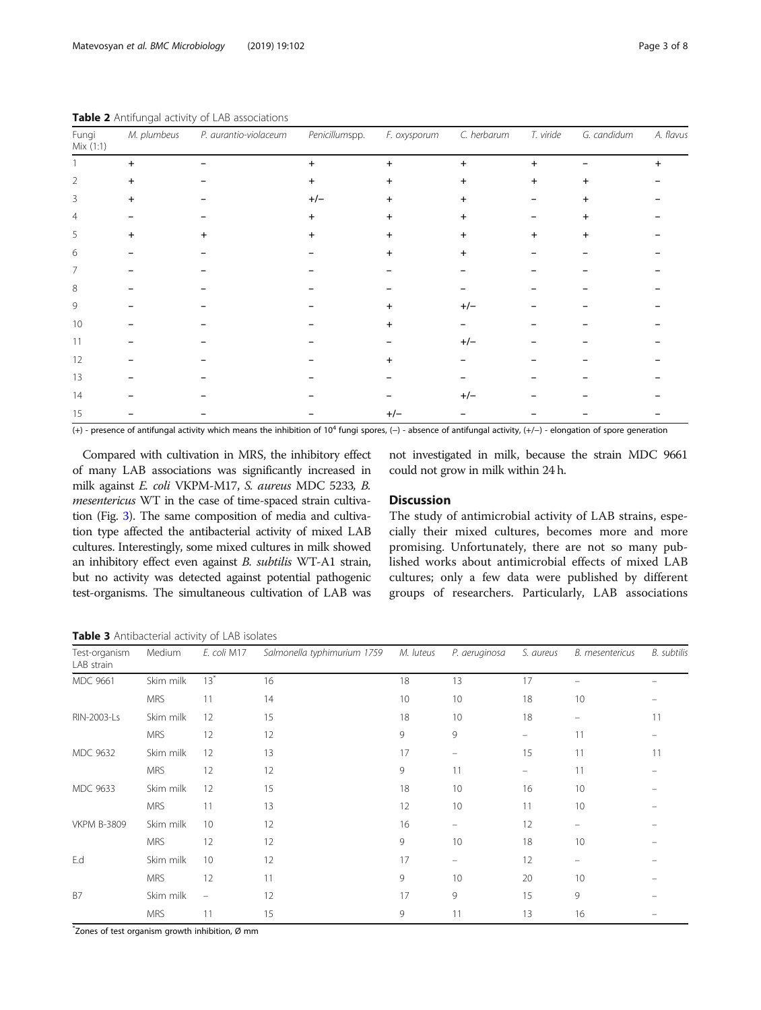| Fungi<br>Mix (1:1) | M. plumbeus | P. aurantio-violaceum | Penicillumspp. | F. oxysporum   | C. herbarum | T. viride      | G. candidum    | A. flavus |
|--------------------|-------------|-----------------------|----------------|----------------|-------------|----------------|----------------|-----------|
|                    | $\ddot{}$   |                       | $+$            | $\ddot{}$      | $\ddot{}$   | $\ddot{}$      |                |           |
| 2                  | $\ddot{}$   |                       | $\ddot{}$      | $\ddot{}$      | $+$         | $\ddot{}$      | +              |           |
| 3                  | $\ddot{}$   |                       | $+/-$          | $\ddot{}$      | $\ddot{}$   |                |                |           |
| 4                  |             |                       | $+$            | $\ddot{}$      | $\ddot{}$   |                | $\ddot{}$      |           |
| 5                  | $\ddot{}$   |                       | $\ddot{}$      | $\overline{+}$ | $+$         | $\overline{+}$ | $\overline{+}$ |           |
| 6                  |             |                       |                |                |             |                |                |           |
| 7                  |             |                       |                |                |             |                |                |           |
| 8                  |             |                       |                |                |             |                |                |           |
| 9                  |             |                       |                |                | $+/-$       |                |                |           |
| 10                 |             |                       |                |                |             |                |                |           |
| 11                 |             |                       |                |                | $+/-$       |                |                |           |
| 12                 |             |                       |                |                |             |                |                |           |
| 13                 |             |                       |                |                |             |                |                |           |
| 14                 |             |                       |                |                | $+/-$       |                |                |           |
| 15                 |             |                       |                | $+/-$          |             |                |                |           |

<span id="page-2-0"></span>Table 2 Antifungal activity of LAB associations

(+) - presence of antifungal activity which means the inhibition of 104 fungi spores, (−) - absence of antifungal activity, (+/−) - elongation of spore generation

Compared with cultivation in MRS, the inhibitory effect of many LAB associations was significantly increased in milk against E. coli VKPM-M17, S. aureus MDC 5233, B. mesentericus WT in the case of time-spaced strain cultivation (Fig. [3\)](#page-4-0). The same composition of media and cultivation type affected the antibacterial activity of mixed LAB cultures. Interestingly, some mixed cultures in milk showed an inhibitory effect even against B. subtilis WT-A1 strain, but no activity was detected against potential pathogenic test-organisms. The simultaneous cultivation of LAB was not investigated in milk, because the strain MDC 9661 could not grow in milk within 24 h.

## Discussion

The study of antimicrobial activity of LAB strains, especially their mixed cultures, becomes more and more promising. Unfortunately, there are not so many published works about antimicrobial effects of mixed LAB cultures; only a few data were published by different groups of researchers. Particularly, LAB associations

Table 3 Antibacterial activity of LAB isolates

| Test-organism<br>LAB strain | Medium     | E. coli M17              | Salmonella typhimurium 1759 | M. luteus | P. aeruginosa                  | S. aureus         | <b>B.</b> mesentericus | <b>B.</b> subtilis |
|-----------------------------|------------|--------------------------|-----------------------------|-----------|--------------------------------|-------------------|------------------------|--------------------|
| MDC 9661                    | Skim milk  | $13^*$                   | 16                          | 18        | 13                             | 17                |                        |                    |
|                             | <b>MRS</b> | 11                       | 14                          | 10        | 10                             | 18                | 10                     |                    |
| RIN-2003-Ls                 | Skim milk  | 12                       | 15                          | 18        | 10                             | 18                | -                      | 11                 |
|                             | <b>MRS</b> | 12                       | 12                          | 9         | 9                              | $\qquad \qquad -$ | 11                     |                    |
| <b>MDC 9632</b>             | Skim milk  | 12                       | 13                          | 17        | $\qquad \qquad \longleftarrow$ | 15                | 11                     | 11                 |
|                             | <b>MRS</b> | 12                       | 12                          | 9         | 11                             | -                 | 11                     |                    |
| MDC 9633                    | Skim milk  | 12                       | 15                          | 18        | 10                             | 16                | 10                     |                    |
|                             | <b>MRS</b> | 11                       | 13                          | 12        | 10                             | 11                | 10                     |                    |
| <b>VKPM B-3809</b>          | Skim milk  | 10 <sup>°</sup>          | 12                          | 16        | $\overline{\phantom{m}}$       | 12                | -                      |                    |
|                             | <b>MRS</b> | 12                       | 12                          | 9         | 10                             | 18                | 10                     |                    |
| E.d                         | Skim milk  | 10                       | 12                          | 17        | $\qquad \qquad -$              | 12                | -                      |                    |
|                             | <b>MRS</b> | 12                       | 11                          | 9         | 10                             | 20                | 10                     |                    |
| <b>B7</b>                   | Skim milk  | $\overline{\phantom{m}}$ | 12                          | 17        | 9                              | 15                | 9                      |                    |
|                             | <b>MRS</b> | 11                       | 15                          | 9         | 11                             | 13                | 16                     |                    |

\* Zones of test organism growth inhibition, Ø mm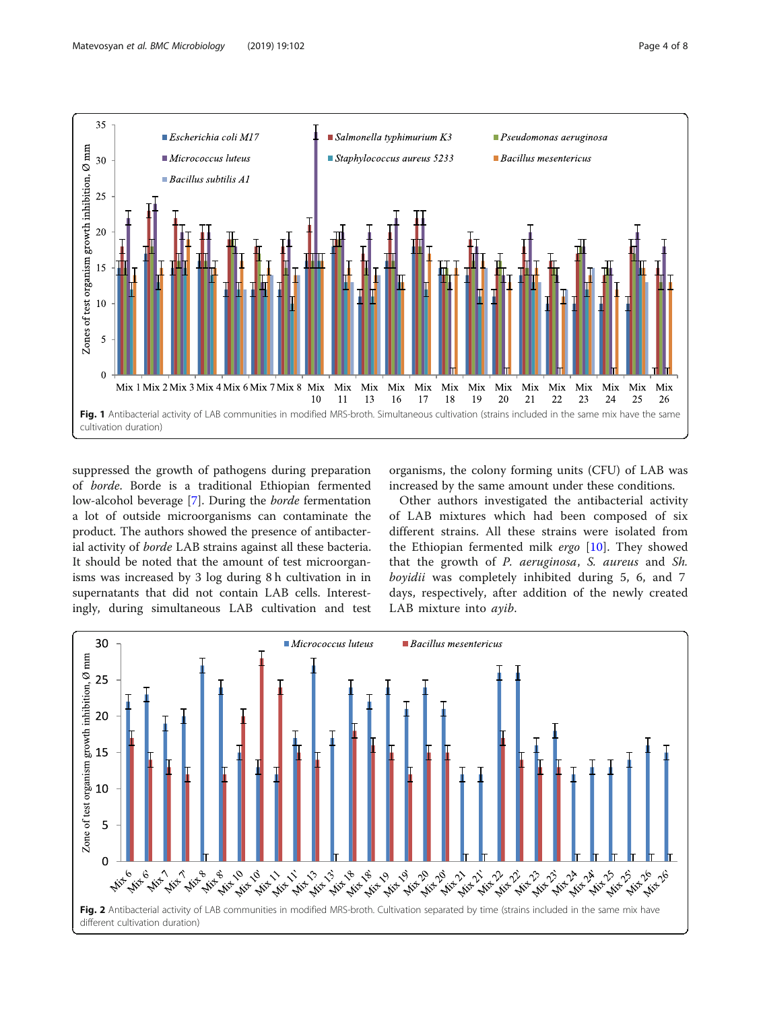

<span id="page-3-0"></span>

suppressed the growth of pathogens during preparation of borde. Borde is a traditional Ethiopian fermented low-alcohol beverage [[7\]](#page-6-0). During the borde fermentation a lot of outside microorganisms can contaminate the product. The authors showed the presence of antibacterial activity of borde LAB strains against all these bacteria. It should be noted that the amount of test microorganisms was increased by 3 log during 8 h cultivation in in supernatants that did not contain LAB cells. Interestingly, during simultaneous LAB cultivation and test

organisms, the colony forming units (CFU) of LAB was increased by the same amount under these conditions.

Other authors investigated the antibacterial activity of LAB mixtures which had been composed of six different strains. All these strains were isolated from the Ethiopian fermented milk ergo [[10\]](#page-6-0). They showed that the growth of P. aeruginosa, S. aureus and Sh. boyidii was completely inhibited during 5, 6, and 7 days, respectively, after addition of the newly created LAB mixture into ayib.

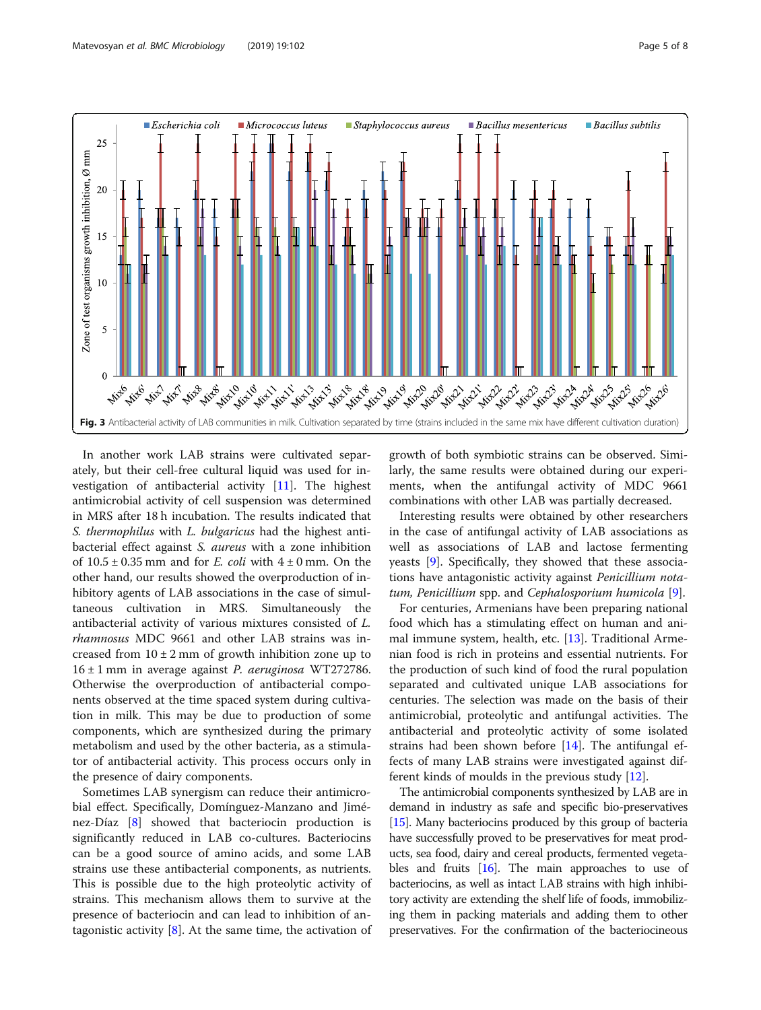<span id="page-4-0"></span>

In another work LAB strains were cultivated separately, but their cell-free cultural liquid was used for investigation of antibacterial activity [[11\]](#page-6-0). The highest antimicrobial activity of cell suspension was determined in MRS after 18 h incubation. The results indicated that S. thermophilus with L. bulgaricus had the highest antibacterial effect against S. aureus with a zone inhibition of  $10.5 \pm 0.35$  mm and for *E. coli* with  $4 \pm 0$  mm. On the other hand, our results showed the overproduction of inhibitory agents of LAB associations in the case of simultaneous cultivation in MRS. Simultaneously the antibacterial activity of various mixtures consisted of L. rhamnosus MDC 9661 and other LAB strains was increased from  $10 \pm 2$  mm of growth inhibition zone up to  $16 \pm 1$  mm in average against *P. aeruginosa* WT272786. Otherwise the overproduction of antibacterial components observed at the time spaced system during cultivation in milk. This may be due to production of some components, which are synthesized during the primary metabolism and used by the other bacteria, as a stimulator of antibacterial activity. This process occurs only in the presence of dairy components.

Sometimes LAB synergism can reduce their antimicrobial effect. Specifically, Domínguez-Manzano and Jiménez-Díaz [\[8](#page-6-0)] showed that bacteriocin production is significantly reduced in LAB co-cultures. Bacteriocins can be a good source of amino acids, and some LAB strains use these antibacterial components, as nutrients. This is possible due to the high proteolytic activity of strains. This mechanism allows them to survive at the presence of bacteriocin and can lead to inhibition of antagonistic activity  $[8]$  $[8]$ . At the same time, the activation of

growth of both symbiotic strains can be observed. Similarly, the same results were obtained during our experiments, when the antifungal activity of MDC 9661 combinations with other LAB was partially decreased.

Interesting results were obtained by other researchers in the case of antifungal activity of LAB associations as well as associations of LAB and lactose fermenting yeasts [[9](#page-6-0)]. Specifically, they showed that these associations have antagonistic activity against Penicillium notatum, Penicillium spp. and Cephalosporium humicola [\[9](#page-6-0)].

For centuries, Armenians have been preparing national food which has a stimulating effect on human and animal immune system, health, etc. [[13](#page-6-0)]. Traditional Armenian food is rich in proteins and essential nutrients. For the production of such kind of food the rural population separated and cultivated unique LAB associations for centuries. The selection was made on the basis of their antimicrobial, proteolytic and antifungal activities. The antibacterial and proteolytic activity of some isolated strains had been shown before [[14](#page-6-0)]. The antifungal effects of many LAB strains were investigated against different kinds of moulds in the previous study [[12\]](#page-6-0).

The antimicrobial components synthesized by LAB are in demand in industry as safe and specific bio-preservatives [[15](#page-7-0)]. Many bacteriocins produced by this group of bacteria have successfully proved to be preservatives for meat products, sea food, dairy and cereal products, fermented vegetables and fruits [\[16\]](#page-7-0). The main approaches to use of bacteriocins, as well as intact LAB strains with high inhibitory activity are extending the shelf life of foods, immobilizing them in packing materials and adding them to other preservatives. For the confirmation of the bacteriocineous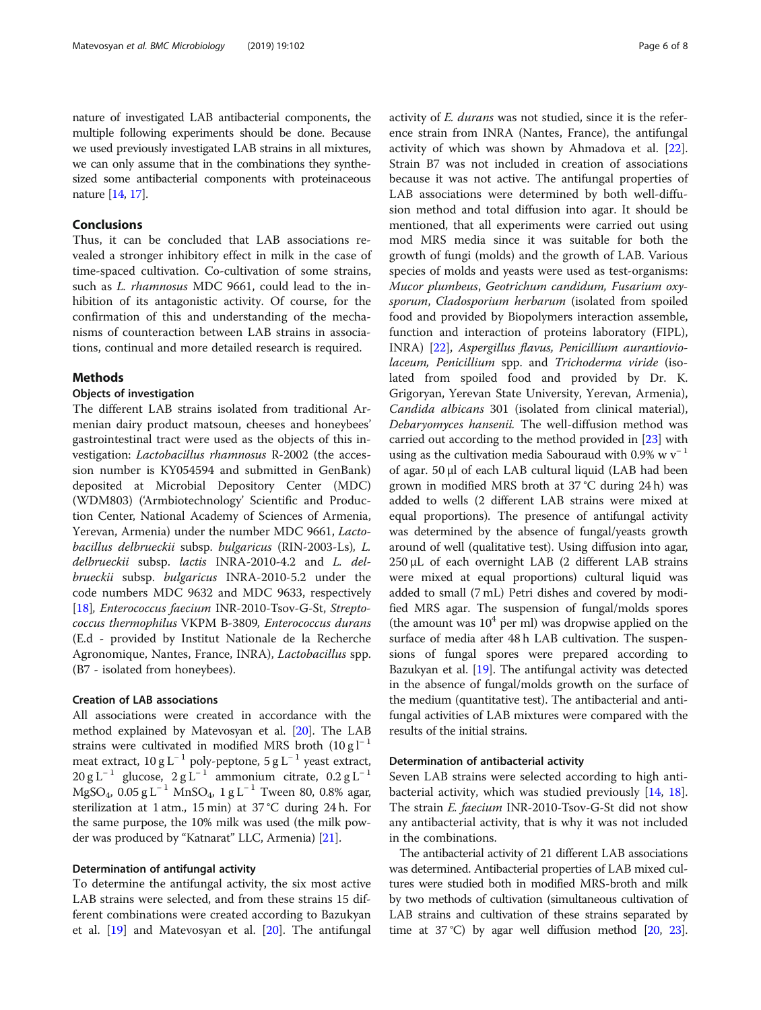nature of investigated LAB antibacterial components, the multiple following experiments should be done. Because we used previously investigated LAB strains in all mixtures, we can only assume that in the combinations they synthesized some antibacterial components with proteinaceous nature [[14](#page-6-0), [17](#page-7-0)].

#### Conclusions

Thus, it can be concluded that LAB associations revealed a stronger inhibitory effect in milk in the case of time-spaced cultivation. Co-cultivation of some strains, such as L. rhamnosus MDC 9661, could lead to the inhibition of its antagonistic activity. Of course, for the confirmation of this and understanding of the mechanisms of counteraction between LAB strains in associations, continual and more detailed research is required.

#### Methods

#### Objects of investigation

The different LAB strains isolated from traditional Armenian dairy product matsoun, cheeses and honeybees' gastrointestinal tract were used as the objects of this investigation: Lactobacillus rhamnosus R-2002 (the accession number is KY054594 and submitted in GenBank) deposited at Microbial Depository Center (MDC) (WDM803) ('Armbiotechnology' Scientific and Production Center, National Academy of Sciences of Armenia, Yerevan, Armenia) under the number MDC 9661, Lactobacillus delbrueckii subsp. bulgaricus (RIN-2003-Ls), L. delbrueckii subsp. lactis INRA-2010-4.2 and L. delbrueckii subsp. bulgaricus INRA-2010-5.2 under the code numbers MDC 9632 and MDC 9633, respectively [[18\]](#page-7-0), Enterococcus faecium INR-2010-Tsov-G-St, Streptococcus thermophilus VKPM B-3809, Enterococcus durans (E.d - provided by Institut Nationale de la Recherche Agronomique, Nantes, France, INRA), Lactobacillus spp. (B7 - isolated from honeybees).

#### Creation of LAB associations

All associations were created in accordance with the method explained by Matevosyan et al. [[20](#page-7-0)]. The LAB strains were cultivated in modified MRS broth  $(10 \text{ g} l^{-1})$ meat extract,  $10 g L^{-1}$  poly-peptone,  $5 g L^{-1}$  yeast extract,  $20 g L^{-1}$  glucose,  $2 g L^{-1}$  ammonium citrate,  $0.2 g L^{-1}$ MgSO<sub>4</sub>, 0.05 g L<sup>-1</sup> MnSO<sub>4</sub>, 1 g L<sup>-1</sup> Tween 80, 0.8% agar, sterilization at 1 atm., 15 min) at 37 °C during 24 h. For the same purpose, the 10% milk was used (the milk powder was produced by "Katnarat" LLC, Armenia) [[21](#page-7-0)].

#### Determination of antifungal activity

To determine the antifungal activity, the six most active LAB strains were selected, and from these strains 15 different combinations were created according to Bazukyan et al. [[19](#page-7-0)] and Matevosyan et al. [\[20](#page-7-0)]. The antifungal activity of E. durans was not studied, since it is the reference strain from INRA (Nantes, France), the antifungal activity of which was shown by Ahmadova et al. [\[22](#page-7-0)]. Strain B7 was not included in creation of associations because it was not active. The antifungal properties of LAB associations were determined by both well-diffusion method and total diffusion into agar. It should be mentioned, that all experiments were carried out using mod MRS media since it was suitable for both the growth of fungi (molds) and the growth of LAB. Various species of molds and yeasts were used as test-organisms: Mucor plumbeus, Geotrichum candidum, Fusarium oxysporum, Cladosporium herbarum (isolated from spoiled food and provided by Biopolymers interaction assemble, function and interaction of proteins laboratory (FIPL), INRA) [\[22](#page-7-0)], Aspergillus flavus, Penicillium aurantioviolaceum, Penicillium spp. and Trichoderma viride (isolated from spoiled food and provided by Dr. K. Grigoryan, Yerevan State University, Yerevan, Armenia), Candida albicans 301 (isolated from clinical material), Debaryomyces hansenii. The well-diffusion method was carried out according to the method provided in [\[23\]](#page-7-0) with using as the cultivation media Sabouraud with 0.9% w  $v^{-1}$ of agar. 50 μl of each LAB cultural liquid (LAB had been grown in modified MRS broth at 37 °C during 24 h) was added to wells (2 different LAB strains were mixed at equal proportions). The presence of antifungal activity was determined by the absence of fungal/yeasts growth around of well (qualitative test). Using diffusion into agar, 250 μL of each overnight LAB (2 different LAB strains were mixed at equal proportions) cultural liquid was added to small (7 mL) Petri dishes and covered by modified MRS agar. The suspension of fungal/molds spores (the amount was  $10<sup>4</sup>$  per ml) was dropwise applied on the surface of media after 48 h LAB cultivation. The suspensions of fungal spores were prepared according to Bazukyan et al. [\[19\]](#page-7-0). The antifungal activity was detected in the absence of fungal/molds growth on the surface of the medium (quantitative test). The antibacterial and antifungal activities of LAB mixtures were compared with the results of the initial strains.

#### Determination of antibacterial activity

Seven LAB strains were selected according to high antibacterial activity, which was studied previously [[14](#page-6-0), [18](#page-7-0)]. The strain E. faecium INR-2010-Tsov-G-St did not show any antibacterial activity, that is why it was not included in the combinations.

The antibacterial activity of 21 different LAB associations was determined. Antibacterial properties of LAB mixed cultures were studied both in modified MRS-broth and milk by two methods of cultivation (simultaneous cultivation of LAB strains and cultivation of these strains separated by time at 37 °C) by agar well diffusion method  $[20, 23]$  $[20, 23]$  $[20, 23]$  $[20, 23]$ .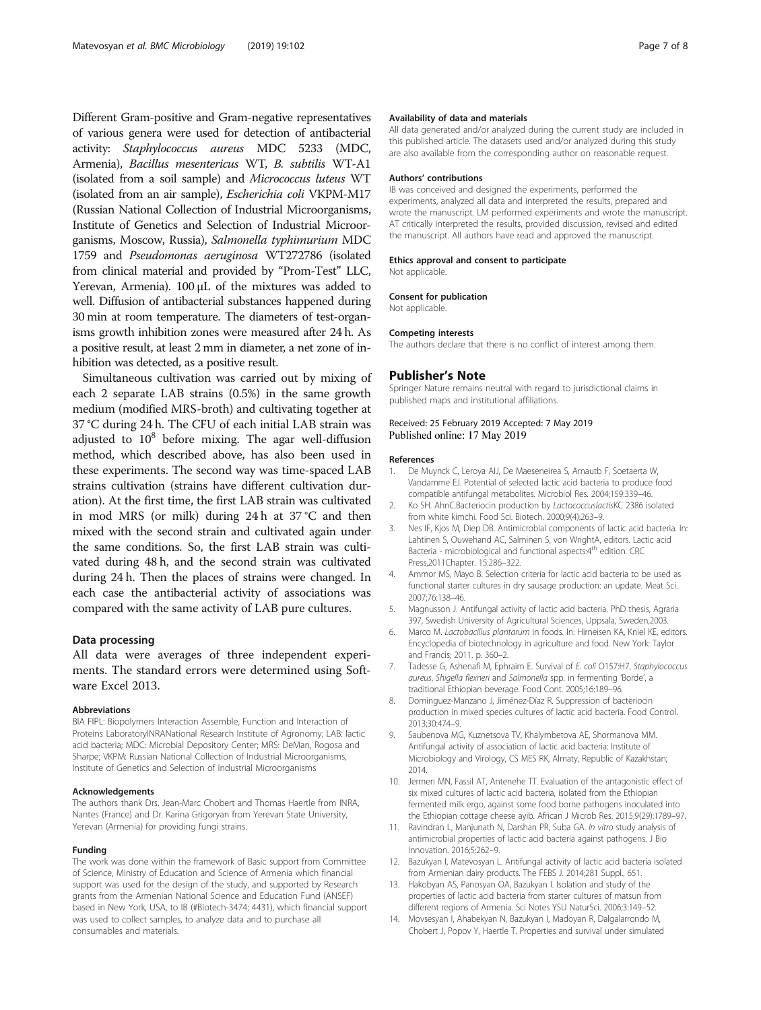<span id="page-6-0"></span>Different Gram-positive and Gram-negative representatives of various genera were used for detection of antibacterial activity: Staphylococcus aureus MDC 5233 (MDC, Armenia), Bacillus mesentericus WT, B. subtilis WT-A1 (isolated from a soil sample) and Micrococcus luteus WT (isolated from an air sample), Escherichia coli VKPM-M17 (Russian National Collection of Industrial Microorganisms, Institute of Genetics and Selection of Industrial Microorganisms, Moscow, Russia), Salmonella typhimurium MDC 1759 and Pseudomonas aeruginosa WT272786 (isolated from clinical material and provided by "Prom-Test" LLC, Yerevan, Armenia). 100 μL of the mixtures was added to well. Diffusion of antibacterial substances happened during 30 min at room temperature. The diameters of test-organisms growth inhibition zones were measured after 24 h. As a positive result, at least 2 mm in diameter, a net zone of inhibition was detected, as a positive result.

Simultaneous cultivation was carried out by mixing of each 2 separate LAB strains (0.5%) in the same growth medium (modified MRS-broth) and cultivating together at 37 °C during 24 h. The CFU of each initial LAB strain was adjusted to  $10^8$  before mixing. The agar well-diffusion method, which described above, has also been used in these experiments. The second way was time-spaced LAB strains cultivation (strains have different cultivation duration). At the first time, the first LAB strain was cultivated in mod MRS (or milk) during 24 h at 37 °C and then mixed with the second strain and cultivated again under the same conditions. So, the first LAB strain was cultivated during 48 h, and the second strain was cultivated during 24 h. Then the places of strains were changed. In each case the antibacterial activity of associations was compared with the same activity of LAB pure cultures.

#### Data processing

All data were averages of three independent experiments. The standard errors were determined using Software Excel 2013.

#### Abbreviations

BIA FIPL: Biopolymers Interaction Assemble, Function and Interaction of Proteins LaboratoryINRANational Research Institute of Agronomy; LAB: lactic acid bacteria; MDC: Microbial Depository Center; MRS: DeMan, Rogosa and Sharpe; VKPM: Russian National Collection of Industrial Microorganisms, Institute of Genetics and Selection of Industrial Microorganisms

#### Acknowledgements

The authors thank Drs. Jean-Marc Chobert and Thomas Haertle from INRA, Nantes (France) and Dr. Karina Grigoryan from Yerevan State University, Yerevan (Armenia) for providing fungi strains.

#### Funding

The work was done within the framework of Basic support from Committee of Science, Ministry of Education and Science of Armenia which financial support was used for the design of the study, and supported by Research grants from the Armenian National Science and Education Fund (ANSEF) based in New York, USA, to IB (#Biotech-3474; 4431), which financial support was used to collect samples, to analyze data and to purchase all consumables and materials.

#### Availability of data and materials

All data generated and/or analyzed during the current study are included in this published article. The datasets used and/or analyzed during this study are also available from the corresponding author on reasonable request.

#### Authors' contributions

IB was conceived and designed the experiments, performed the experiments, analyzed all data and interpreted the results, prepared and wrote the manuscript. LM performed experiments and wrote the manuscript. AT critically interpreted the results, provided discussion, revised and edited the manuscript. All authors have read and approved the manuscript.

#### Ethics approval and consent to participate

Not applicable.

#### Consent for publication Not applicable.

#### Competing interests

The authors declare that there is no conflict of interest among them.

#### Publisher's Note

Springer Nature remains neutral with regard to jurisdictional claims in published maps and institutional affiliations.

#### Received: 25 February 2019 Accepted: 7 May 2019 Published online: 17 May 2019

#### References

- 1. De Muynck C, Leroya AIJ, De Maeseneirea S, Arnautb F, Soetaerta W, Vandamme EJ. Potential of selected lactic acid bacteria to produce food compatible antifungal metabolites. Microbiol Res. 2004;159:339–46.
- 2. Ko SH. AhnC.Bacteriocin production by LactococcuslactisKC 2386 isolated from white kimchi. Food Sci. Biotech. 2000;9(4):263–9.
- 3. Nes IF, Kjos M, Diep DB. Antimicrobial components of lactic acid bacteria. In: Lahtinen S, Ouwehand AC, Salminen S, von WrightA, editors. Lactic acid Bacteria - microbiological and functional aspects:4<sup>th</sup> edition. CRC Press,2011Chapter. 15:286–322.
- 4. Ammor MS, Mayo B. Selection criteria for lactic acid bacteria to be used as functional starter cultures in dry sausage production: an update. Meat Sci. 2007;76:138–46.
- 5. Magnusson J. Antifungal activity of lactic acid bacteria. PhD thesis, Agraria 397, Swedish University of Agricultural Sciences, Uppsala, Sweden,2003.
- 6. Marco M. Lactobacillus plantarum in foods. In: Hirneisen KA, Kniel KE, editors. Encyclopedia of biotechnology in agriculture and food. New York: Taylor and Francis; 2011. p. 360–2.
- 7. Tadesse G, Ashenafi M, Ephraim E. Survival of E. coli O157:H7, Staphylococcus aureus, Shigella flexneri and Salmonella spp. in fermenting 'Borde', a traditional Ethiopian beverage. Food Cont. 2005;16:189–96.
- 8. Domínguez-Manzano J, Jiménez-Díaz R. Suppression of bacteriocin production in mixed species cultures of lactic acid bacteria. Food Control. 2013;30:474–9.
- 9. Saubenova MG, Kuznetsova TV, Khalymbetova AE, Shormanova MM. Antifungal activity of association of lactic acid bacteria: Institute of Microbiology and Virology, CS MES RK, Almaty, Republic of Kazakhstan; 2014.
- 10. Jermen MN, Fassil AT, Antenehe TT. Evaluation of the antagonistic effect of six mixed cultures of lactic acid bacteria, isolated from the Ethiopian fermented milk ergo, against some food borne pathogens inoculated into the Ethiopian cottage cheese ayib. African J Microb Res. 2015;9(29):1789–97.
- 11. Ravindran L, Manjunath N, Darshan PR, Suba GA. In vitro study analysis of antimicrobial properties of lactic acid bacteria against pathogens. J Bio Innovation. 2016;5:262–9.
- 12. Bazukyan I, Matevosyan L. Antifungal activity of lactic acid bacteria isolated from Armenian dairy products. The FEBS J. 2014;281 Suppl., 651.
- 13. Hakobyan AS, Panosyan OA, Bazukyan I. Isolation and study of the properties of lactic acid bacteria from starter cultures of matsun from different regions of Armenia. Sci Notes YSU NaturSci. 2006;3:149–52.
- 14. Movsesyan I, Ahabekyan N, Bazukyan I, Madoyan R, Dalgalarrondo M, Chobert J, Popov Y, Haertle T. Properties and survival under simulated